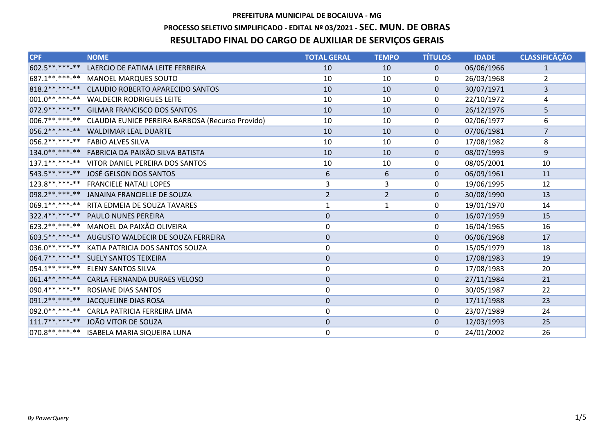# PREFEITURA MUNICIPAL DE BOCAIUVA - MG PROCESSO SELETIVO SIMPLIFICADO - EDITAL Nº 03/2021 - SEC. MUN. DE OBRAS RESULTADO FINAL DO CARGO DE AUXILIAR DE SERVIÇOS GERAIS

| <b>CPF</b>        | <b>NOME</b>                                         | <b>TOTAL GERAL</b> | <b>TEMPO</b>   | <b>TÍTULOS</b> | <b>IDADE</b> | <b>CLASSIFICÃÇÃO</b> |
|-------------------|-----------------------------------------------------|--------------------|----------------|----------------|--------------|----------------------|
| 602.5 ** ***-**   | LAERCIO DE FATIMA LEITE FERREIRA                    | 10                 | 10             | $\mathbf{0}$   | 06/06/1966   | 1                    |
| 687.1**.***-**    | <b>MANOEL MARQUES SOUTO</b>                         | 10                 | 10             | 0              | 26/03/1968   | $\overline{2}$       |
|                   | 818.2 ** ***-** CLAUDIO ROBERTO APARECIDO SANTOS    | 10                 | 10             | $\mathbf 0$    | 30/07/1971   | 3                    |
|                   | 001.0**.***-** WALDECIR RODRIGUES LEITE             | 10                 | 10             | 0              | 22/10/1972   | 4                    |
|                   | 072.9 ** ***- ** GILMAR FRANCISCO DOS SANTOS        | 10                 | 10             | $\Omega$       | 26/12/1976   | 5                    |
| $ 006.7*********$ | CLAUDIA EUNICE PEREIRA BARBOSA (Recurso Provido)    | 10                 | 10             | $\Omega$       | 02/06/1977   | 6                    |
|                   | 056.2 ** .*** -** WALDIMAR LEAL DUARTE              | 10                 | 10             | $\mathbf{0}$   | 07/06/1981   | $\overline{7}$       |
| 056.2 ** *** -**  | <b>FABIO ALVES SILVA</b>                            | 10                 | 10             | $\mathbf{0}$   | 17/08/1982   | 8                    |
|                   | 134.0** ***-** FABRICIA DA PAIXÃO SILVA BATISTA     | 10                 | 10             | $\mathbf{0}$   | 08/07/1993   | 9                    |
|                   | 137.1**.***-** VITOR DANIEL PEREIRA DOS SANTOS      | 10                 | 10             | $\Omega$       | 08/05/2001   | 10                   |
| 543.5 ** *** -**  | JOSÉ GELSON DOS SANTOS                              | $\boldsymbol{6}$   | 6              | $\mathbf{0}$   | 06/09/1961   | 11                   |
|                   | 123.8**.***-** FRANCIELE NATALI LOPES               | 3                  | 3              | $\mathbf{0}$   | 19/06/1995   | 12                   |
| 098.2 ** ***-**   | JANAINA FRANCIELLE DE SOUZA                         | $\overline{2}$     | $\overline{2}$ | $\mathbf{0}$   | 30/08/1990   | 13                   |
| $069.1******$     | RITA EDMEIA DE SOUZA TAVARES                        | $\mathbf{1}$       | $\mathbf{1}$   | 0              | 19/01/1970   | 14                   |
|                   | 322.4** ***-** PAULO NUNES PEREIRA                  | $\pmb{0}$          |                | $\mathbf 0$    | 16/07/1959   | 15                   |
|                   | 623.2 ** ***- ** MANOEL DA PAIXÃO OLIVEIRA          | 0                  |                | 0              | 16/04/1965   | 16                   |
|                   | 603.5 ** ***- ** AUGUSTO WALDECIR DE SOUZA FERREIRA | $\pmb{0}$          |                | $\mathbf 0$    | 06/06/1968   | 17                   |
|                   | 036.0** ***-** KATIA PATRICIA DOS SANTOS SOUZA      | 0                  |                | 0              | 15/05/1979   | 18                   |
|                   | 064.7** ***-** SUELY SANTOS TEIXEIRA                | $\pmb{0}$          |                | $\mathbf 0$    | 17/08/1983   | 19                   |
|                   | 054.1**.***-** ELENY SANTOS SILVA                   | 0                  |                | 0              | 17/08/1983   | 20                   |
| 061.4** ***-**    | <b>CARLA FERNANDA DURAES VELOSO</b>                 | $\pmb{0}$          |                | $\mathbf{0}$   | 27/11/1984   | 21                   |
|                   | 090.4**.***-** ROSIANE DIAS SANTOS                  | 0                  |                | 0              | 30/05/1987   | 22                   |
| $091.2*********$  | JACQUELINE DIAS ROSA                                | $\pmb{0}$          |                | $\Omega$       | 17/11/1988   | 23                   |
| 092.0 ********    | CARLA PATRICIA FERREIRA LIMA                        | 0                  |                | $\Omega$       | 23/07/1989   | 24                   |
| $111.7******$     | JOÃO VITOR DE SOUZA                                 | $\pmb{0}$          |                | $\Omega$       | 12/03/1993   | 25                   |
|                   | 070.8**.***-** ISABELA MARIA SIQUEIRA LUNA          | 0                  |                | $\Omega$       | 24/01/2002   | 26                   |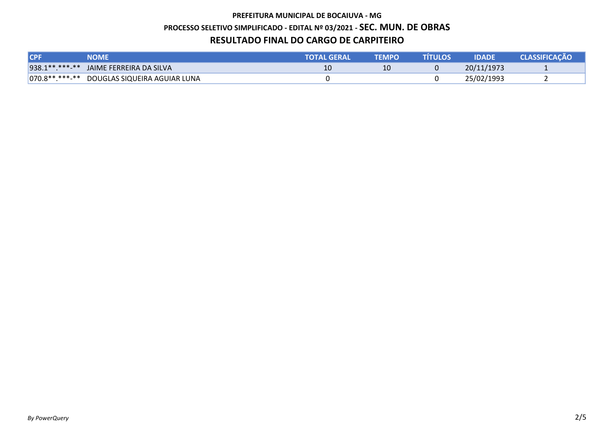#### PREFEITURA MUNICIPAL DE BOCAIUVA - MG

## PROCESSO SELETIVO SIMPLIFICADO - EDITAL Nº 03/2021 - SEC. MUN. DE OBRAS

### RESULTADO FINAL DO CARGO DE CARPITEIRO

| <b>ICPF</b> | <b>NOME'</b>                                | <b>ITOTAL GERAL'</b> | <b>TEMPO</b> | <b>TITULOS</b> | <b>IDADE</b> | <b>CLASSIFICACÃO</b> |
|-------------|---------------------------------------------|----------------------|--------------|----------------|--------------|----------------------|
|             | 938.1 ** ***-** JAIME FERREIRA DA SILVA     |                      |              |                | 20/11/1973   |                      |
|             | 070.8**.***-** DOUGLAS SIQUEIRA AGUIAR LUNA |                      |              |                | 25/02/1993   |                      |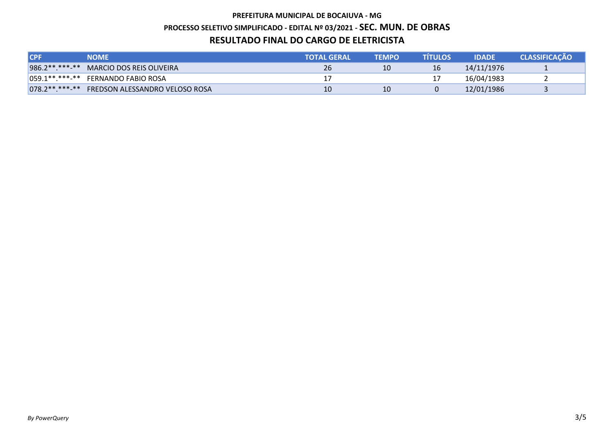# PREFEITURA MUNICIPAL DE BOCAIUVA - MG PROCESSO SELETIVO SIMPLIFICADO - EDITAL Nº 03/2021 - SEC. MUN. DE OBRAS RESULTADO FINAL DO CARGO DE ELETRICISTA

| <b>ICPF</b> | <b>NOME</b>                                   | <b>NTOTAL GERAL</b> | <b>TEMPO</b> | <b>TITULOS</b> | <b>IDADE</b> | <b>CLASSIFICACÃO</b> |
|-------------|-----------------------------------------------|---------------------|--------------|----------------|--------------|----------------------|
|             | 986.2** ***-** MARCIO DOS REIS OLIVEIRA       | 26                  | 10           |                | 14/11/1976   |                      |
|             | 059.1**.***-** FERNANDO FABIO ROSA            |                     |              |                | 16/04/1983   |                      |
|             | 078.2** ***-** FREDSON ALESSANDRO VELOSO ROSA | 10                  | 10           |                | 12/01/1986   |                      |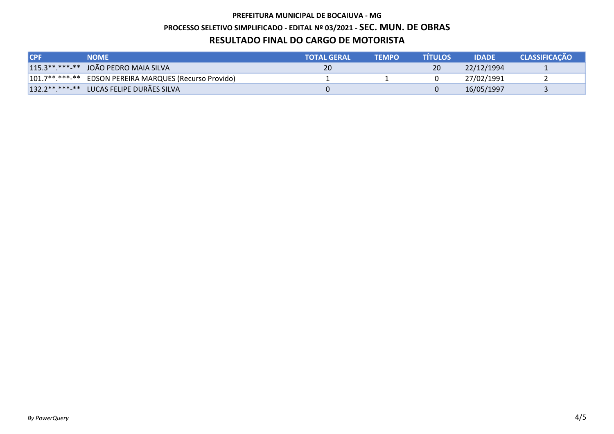# PREFEITURA MUNICIPAL DE BOCAIUVA - MG PROCESSO SELETIVO SIMPLIFICADO - EDITAL Nº 03/2021 - SEC. MUN. DE OBRAS RESULTADO FINAL DO CARGO DE MOTORISTA

| <b>ICPF</b> | <b>NOME</b>                                            | <b>TOTAL GERAL</b> | <b>TEMPO</b> | <b>TITULOS</b> | <b>IDADE</b> | <b>CLASSIFICACÃO</b> |
|-------------|--------------------------------------------------------|--------------------|--------------|----------------|--------------|----------------------|
|             | $115.3******-*$ JOÃO PEDRO MAIA SILVA                  | 20                 |              |                | 22/12/1994   |                      |
|             | 101.7**.***-** EDSON PEREIRA MARQUES (Recurso Provido) |                    |              |                | 27/02/1991   |                      |
|             | 132.2 ** .** * * LUCAS FELIPE DURÃES SILVA             |                    |              |                | 16/05/1997   |                      |